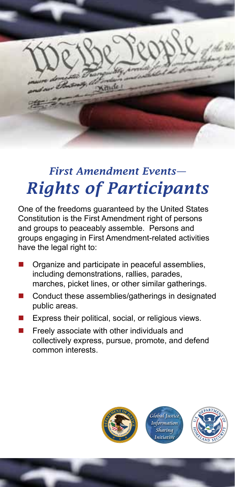

## *First Amendment Events— Rights of Participants*

One of the freedoms guaranteed by the United States Constitution is the First Amendment right of persons and groups to peaceably assemble. Persons and groups engaging in First Amendment-related activities have the legal right to:

- Organize and participate in peaceful assemblies, including demonstrations, rallies, parades, marches, picket lines, or other similar gatherings.
- Conduct these assemblies/gatherings in designated public areas.
- Express their political, social, or religious views.
- Freely associate with other individuals and collectively express, pursue, promote, and defend common interests.